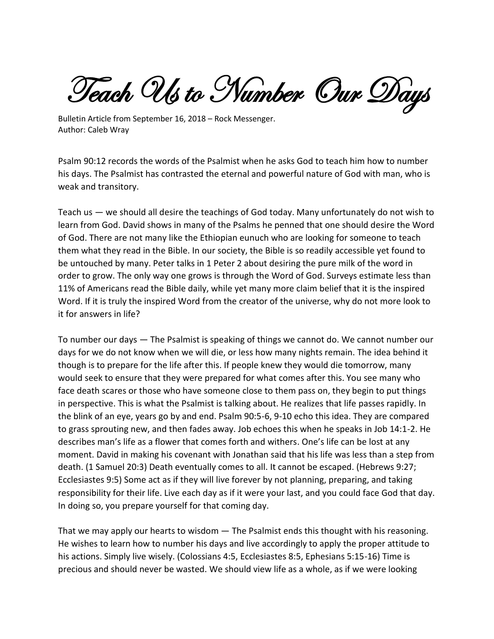Teach Us to Number Our Days

Bulletin Article from September 16, 2018 – Rock Messenger. Author: Caleb Wray

Psalm 90:12 records the words of the Psalmist when he asks God to teach him how to number his days. The Psalmist has contrasted the eternal and powerful nature of God with man, who is weak and transitory.

Teach us — we should all desire the teachings of God today. Many unfortunately do not wish to learn from God. David shows in many of the Psalms he penned that one should desire the Word of God. There are not many like the Ethiopian eunuch who are looking for someone to teach them what they read in the Bible. In our society, the Bible is so readily accessible yet found to be untouched by many. Peter talks in 1 Peter 2 about desiring the pure milk of the word in order to grow. The only way one grows is through the Word of God. Surveys estimate less than 11% of Americans read the Bible daily, while yet many more claim belief that it is the inspired Word. If it is truly the inspired Word from the creator of the universe, why do not more look to it for answers in life?

To number our days — The Psalmist is speaking of things we cannot do. We cannot number our days for we do not know when we will die, or less how many nights remain. The idea behind it though is to prepare for the life after this. If people knew they would die tomorrow, many would seek to ensure that they were prepared for what comes after this. You see many who face death scares or those who have someone close to them pass on, they begin to put things in perspective. This is what the Psalmist is talking about. He realizes that life passes rapidly. In the blink of an eye, years go by and end. Psalm 90:5-6, 9-10 echo this idea. They are compared to grass sprouting new, and then fades away. Job echoes this when he speaks in Job 14:1-2. He describes man's life as a flower that comes forth and withers. One's life can be lost at any moment. David in making his covenant with Jonathan said that his life was less than a step from death. (1 Samuel 20:3) Death eventually comes to all. It cannot be escaped. (Hebrews 9:27; Ecclesiastes 9:5) Some act as if they will live forever by not planning, preparing, and taking responsibility for their life. Live each day as if it were your last, and you could face God that day. In doing so, you prepare yourself for that coming day.

That we may apply our hearts to wisdom — The Psalmist ends this thought with his reasoning. He wishes to learn how to number his days and live accordingly to apply the proper attitude to his actions. Simply live wisely. (Colossians 4:5, Ecclesiastes 8:5, Ephesians 5:15-16) Time is precious and should never be wasted. We should view life as a whole, as if we were looking